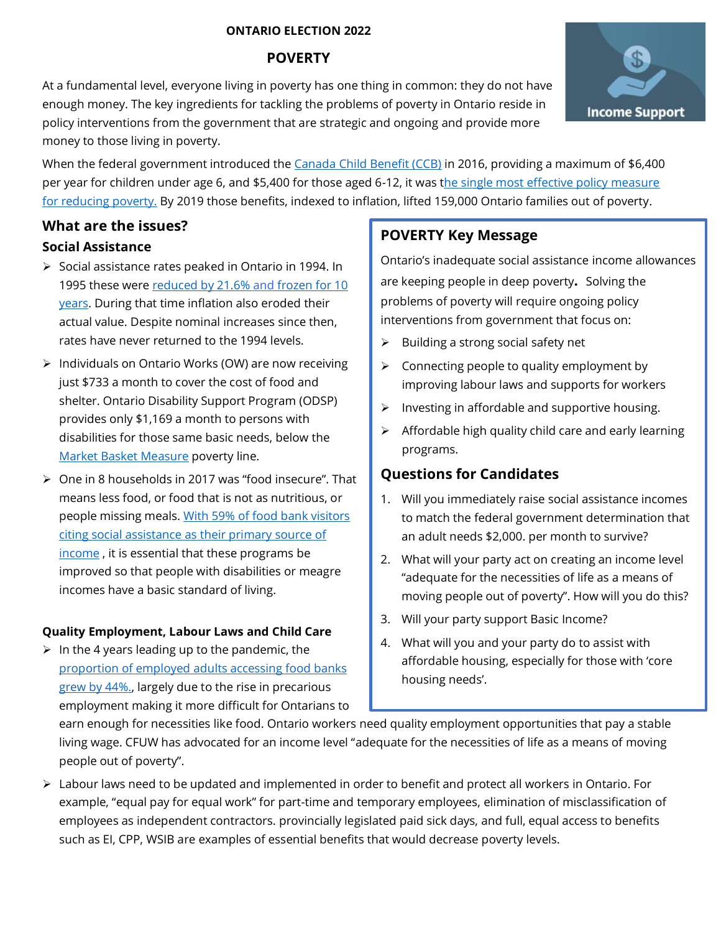#### **ONTARIO ELECTION 2022**

## **POVERTY**

At a fundamental level, everyone living in poverty has one thing in common: they do not have enough money. The key ingredients for tackling the problems of poverty in Ontario reside in policy interventions from the government that are strategic and ongoing and provide more money to those living in poverty.

When the federal government introduced the [Canada Child Benefit \(CCB\)](https://www.canada.ca/en/revenue-agency/services/child-family-benefits/canada-child-benefit-overview.html) in 2016, providing a maximum of \$6,400 per year for children under age 6, and \$5,400 for those aged 6-12, it was [the single most effective policy measure](https://www.policyalternatives.ca/sites/default/files/uploads/publications/Ontario%20Office/2021/11/Poverty%20in%20the%20midst%20of%20plenty%20EN_FINAL.pdf)  [for reducing poverty.](https://www.policyalternatives.ca/sites/default/files/uploads/publications/Ontario%20Office/2021/11/Poverty%20in%20the%20midst%20of%20plenty%20EN_FINAL.pdf) By 2019 those benefits, indexed to inflation, lifted 159,000 Ontario families out of poverty.

## **What are the issues?**

### **Social Assistance**

- ➢ Social assistance rates peaked in Ontario in 1994. In 1995 these were [reduced by 21.6%](https://www.toronto.ca/legdocs/mmis/2021/bu/bgrd/backgroundfile-163304.pdf) and frozen for 10 [years.](https://www.toronto.ca/legdocs/mmis/2021/bu/bgrd/backgroundfile-163304.pdf) During that time inflation also eroded their actual value. Despite nominal increases since then, rates have never returned to the 1994 levels.
- ➢ Individuals on Ontario Works (OW) are now receiving just \$733 a month to cover the cost of food and shelter. Ontario Disability Support Program (ODSP) provides only \$1,169 a month to persons with disabilities for those same basic needs, below the [Market Basket Measure](https://www150.statcan.gc.ca/t1/tbl1/en/tv.action?pid=1110006601) poverty line.
- ➢ One in 8 households in 2017 was "food insecure". That means less food, or food that is not as nutritious, or people missing meals. [With 59% of food bank visitors](https://feedontario.ca/wp-content/uploads/2021/11/Hunger-Report-2021-Digital.pdf)  [citing social assistance as their primary source of](https://feedontario.ca/wp-content/uploads/2021/11/Hunger-Report-2021-Digital.pdf)  [income](https://feedontario.ca/wp-content/uploads/2021/11/Hunger-Report-2021-Digital.pdf) , it is essential that these programs be improved so that people with disabilities or meagre incomes have a basic standard of living.

### **Quality Employment, Labour Laws and Child Care**

 $\triangleright$  In the 4 years leading up to the pandemic, the [proportion of employed adults accessing food banks](https://feedontario.ca/wp-content/uploads/2021/11/Hunger-Report-2021-Digital.pdf)  [grew by 44%.,](https://feedontario.ca/wp-content/uploads/2021/11/Hunger-Report-2021-Digital.pdf) largely due to the rise in precarious employment making it more difficult for Ontarians to

# **POVERTY Key Message**

Ontario's inadequate social assistance income allowances are keeping people in deep poverty**.** Solving the problems of poverty will require ongoing policy interventions from government that focus on:

- ➢ Building a strong social safety net
- $\triangleright$  Connecting people to quality employment by improving labour laws and supports for workers
- ➢ Investing in affordable and supportive housing.
- ➢ Affordable high quality child care and early learning programs.

# **Questions for Candidates**

- 1. Will you immediately raise social assistance incomes to match the federal government determination that an adult needs \$2,000. per month to survive?
- 2. What will your party act on creating an income level "adequate for the necessities of life as a means of moving people out of poverty". How will you do this?
- 3. Will your party support Basic Income?
- 4. What will you and your party do to assist with affordable housing, especially for those with 'core housing needs'.

earn enough for necessities like food. Ontario workers need quality employment opportunities that pay a stable living wage. CFUW has advocated for an income level "adequate for the necessities of life as a means of moving people out of poverty".

➢ Labour laws need to be updated and implemented in order to benefit and protect all workers in Ontario. For example, "equal pay for equal work" for part-time and temporary employees, elimination of misclassification of employees as independent contractors. provincially legislated paid sick days, and full, equal access to benefits such as EI, CPP, WSIB are examples of essential benefits that would decrease poverty levels.